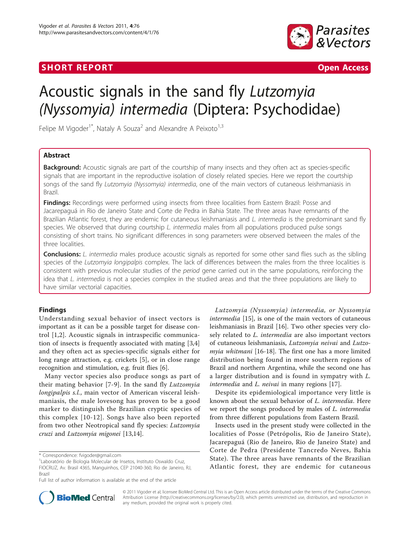## **SHORT REPORT CONSUMING THE CONSUMING THE CONSUMING THE CONSUMING THE CONSUMING THE CONSUMING THE CONSUMING THE CONSUMING THE CONSUMING THE CONSUMING THE CONSUMING THE CONSUMING THE CONSUMING THE CONSUMING THE CONSUMING TH**



# Acoustic signals in the sand fly Lutzomyia (Nyssomyia) intermedia (Diptera: Psychodidae)

Felipe M Vigoder<sup>1\*</sup>, Nataly A Souza<sup>2</sup> and Alexandre A Peixoto<sup>1,3</sup>

## Abstract

**Background:** Acoustic signals are part of the courtship of many insects and they often act as species-specific signals that are important in the reproductive isolation of closely related species. Here we report the courtship songs of the sand fly Lutzomyia (Nyssomyia) intermedia, one of the main vectors of cutaneous leishmaniasis in Brazil.

Findings: Recordings were performed using insects from three localities from Eastern Brazil: Posse and Jacarepaguá in Rio de Janeiro State and Corte de Pedra in Bahia State. The three areas have remnants of the Brazilian Atlantic forest, they are endemic for cutaneous leishmaniasis and L. intermedia is the predominant sand fly species. We observed that during courtship L. intermedia males from all populations produced pulse songs consisting of short trains. No significant differences in song parameters were observed between the males of the three localities.

**Conclusions:** L. intermedia males produce acoustic signals as reported for some other sand flies such as the sibling species of the Lutzomyia longipalpis complex. The lack of differences between the males from the three localities is consistent with previous molecular studies of the period gene carried out in the same populations, reinforcing the idea that L. intermedia is not a species complex in the studied areas and that the three populations are likely to have similar vectorial capacities.

## Findings

Understanding sexual behavior of insect vectors is important as it can be a possible target for disease control [[1,2\]](#page-2-0). Acoustic signals in intraspecific communication of insects is frequently associated with mating [\[3,4](#page-2-0)] and they often act as species-specific signals either for long range attraction, e.g. crickets [[5\]](#page-2-0), or in close range recognition and stimulation, e.g. fruit flies [[6](#page-2-0)].

Many vector species also produce songs as part of their mating behavior [[7-9\]](#page-2-0). In the sand fly Lutzomyia longipalpis s.l., main vector of American visceral leishmaniasis, the male lovesong has proven to be a good marker to distinguish the Brazilian cryptic species of this complex [[10](#page-2-0)-[12\]](#page-2-0). Songs have also been reported from two other Neotropical sand fly species: Lutzomyia cruzi and Lutzomyia migonei [[13](#page-3-0),[14](#page-3-0)].

Lutzomyia (Nyssomyia) intermedia, or Nyssomyia intermedia [[15](#page-3-0)], is one of the main vectors of cutaneous leishmaniasis in Brazil [[16\]](#page-3-0). Two other species very closely related to *L. intermedia* are also important vectors of cutaneous leishmaniasis, Lutzomyia neivai and Lutzomyia whitmani [\[16-18](#page-3-0)]. The first one has a more limited distribution being found in more southern regions of Brazil and northern Argentina, while the second one has a larger distribution and is found in sympatry with L. intermedia and L. neivai in many regions [\[17](#page-3-0)].

Despite its epidemiological importance very little is known about the sexual behavior of L. intermedia. Here we report the songs produced by males of L. intermedia from three different populations from Eastern Brazil.

Insects used in the present study were collected in the localities of Posse (Petrópolis, Rio de Janeiro State), Jacarepaguá (Rio de Janeiro, Rio de Janeiro State) and Corte de Pedra (Presidente Tancredo Neves, Bahia State). The three areas have remnants of the Brazilian Atlantic forest, they are endemic for cutaneous



© 2011 Vigoder et al; licensee BioMed Central Ltd. This is an Open Access article distributed under the terms of the Creative Commons Attribution License [\(http://creativecommons.org/licenses/by/2.0](http://creativecommons.org/licenses/by/2.0)), which permits unrestricted use, distribution, and reproduction in any medium, provided the original work is properly cited.

<sup>\*</sup> Correspondence: [fvigoder@gmail.com](mailto:fvigoder@gmail.com)

<sup>1</sup> Laboratório de Biologia Molecular de Insetos, Instituto Oswaldo Cruz, FIOCRUZ, Av. Brasil 4365, Manguinhos, CEP 21040-360, Rio de Janeiro, RJ, Brazil

Full list of author information is available at the end of the article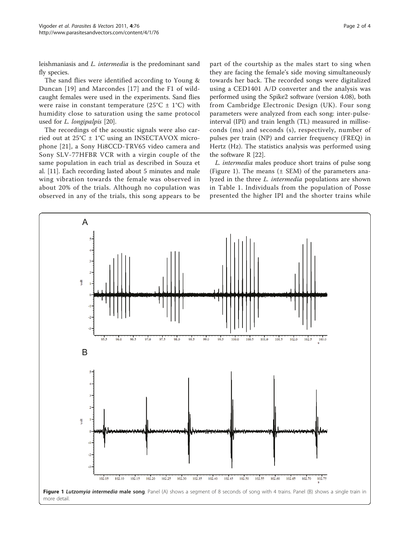leishmaniasis and L. intermedia is the predominant sand fly species.

The sand flies were identified according to Young & Duncan [[19\]](#page-3-0) and Marcondes [[17](#page-3-0)] and the F1 of wildcaught females were used in the experiments. Sand flies were raise in constant temperature ( $25^{\circ}$ C  $\pm$  1°C) with humidity close to saturation using the same protocol used for L. longipalpis [\[20\]](#page-3-0).

The recordings of the acoustic signals were also carried out at 25°C ± 1°C using an INSECTAVOX microphone [[21\]](#page-3-0), a Sony Hi8CCD-TRV65 video camera and Sony SLV-77HFBR VCR with a virgin couple of the same population in each trial as described in Souza et al. [\[11\]](#page-2-0). Each recording lasted about 5 minutes and male wing vibration towards the female was observed in about 20% of the trials. Although no copulation was observed in any of the trials, this song appears to be part of the courtship as the males start to sing when they are facing the female's side moving simultaneously towards her back. The recorded songs were digitalized using a CED1401 A/D converter and the analysis was performed using the Spike2 software (version 4.08), both from Cambridge Electronic Design (UK). Four song parameters were analyzed from each song: inter-pulseinterval (IPI) and train length (TL) measured in milliseconds (ms) and seconds (s), respectively, number of pulses per train (NP) and carrier frequency (FREQ) in Hertz (Hz). The statistics analysis was performed using the software R [\[22](#page-3-0)].

L. intermedia males produce short trains of pulse song (Figure 1). The means  $(\pm$  SEM) of the parameters analyzed in the three L. intermedia populations are shown in Table [1.](#page-2-0) Individuals from the population of Posse presented the higher IPI and the shorter trains while

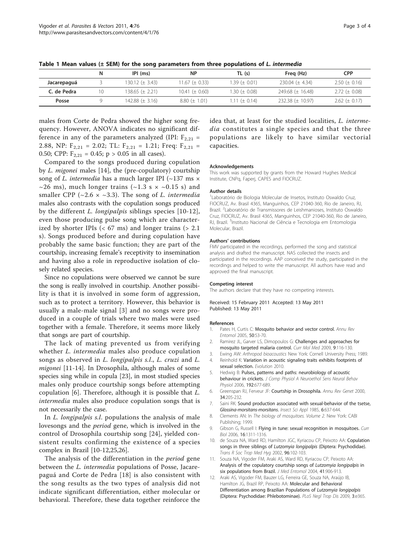|             | N  | IPI (ms)            | ΝP                   | TL (s)              | Freg (Hz)              | <b>CPP</b>          |
|-------------|----|---------------------|----------------------|---------------------|------------------------|---------------------|
| Jacarepaguá |    | 130.12 (± 3.43)     | 11.67 (± 0.33)       | $1.39 \ (\pm 0.01)$ | $230.04 \ (\pm 4.34)$  | $2.50 \ (\pm 0.16)$ |
| C. de Pedra | 10 | 138.65 (± 2.21)     | $10.41 \ (\pm 0.60)$ | 1.30 ( $\pm$ 0.08)  | 249.68 $(\pm 16.48)$   | $2.72 \ (\pm 0.08)$ |
| Posse       |    | 142.88 $(\pm 3.16)$ | $8.80 \ (\pm 1.01)$  | 1.11 ( $\pm$ 0.14)  | $232.38 \ (\pm 10.97)$ | $2.62 \ (\pm 0.17)$ |

<span id="page-2-0"></span>Table 1 Mean values ( $\pm$  SEM) for the song parameters from three populations of L. intermedia

males from Corte de Pedra showed the higher song frequency. However, ANOVA indicates no significant difference in any of the parameters analyzed (IPI:  $F_{2,21}$  = 2.88, NP:  $F_{2,21} = 2.02$ ; TL:  $F_{2,21} = 1.21$ ; Freq:  $F_{2,21} =$ 0.50; CPP:  $F_{2,21} = 0.45$ ;  $p > 0.05$  in all cases).

Compared to the songs produced during copulation by L. migonei males [[14\]](#page-3-0), the (pre-copulatory) courtship song of *L. intermedia* has a much larger IPI ( $\sim$ 137 ms  $\times$  $\sim$ 26 ms), much longer trains ( $\sim$ 1.3 s  $\times$   $\sim$ 0.15 s) and smaller CPP ( $\sim$ 2.6  $\times \sim$ 3.3). The song of *L. intermedia* males also contrasts with the copulation songs produced by the different L. longipalpis siblings species [10-12], even those producing pulse song which are characterized by shorter IPIs  $( $67 \text{ ms}$ )$  and longer trains  $(> 2.1)$ s). Songs produced before and during copulation have probably the same basic function; they are part of the courtship, increasing female's receptivity to insemination and having also a role in reproductive isolation of closely related species.

Since no copulations were observed we cannot be sure the song is really involved in courtship. Another possibility is that it is involved in some form of aggression, such as to protect a territory. However, this behavior is usually a male-male signal [3] and no songs were produced in a couple of trials where two males were used together with a female. Therefore, it seems more likely that songs are part of courtship.

The lack of mating prevented us from verifying whether *L. intermedia* males also produce copulation songs as observed in L. longipalpis s.l., L. cruzi and L. migonei [11-[14\]](#page-3-0). In Drosophila, although males of some species sing while in copula [[23\]](#page-3-0), in most studied species males only produce courtship songs before attempting copulation [6]. Therefore, although it is possible that L. intermedia males also produce copulation songs that is not necessarily the case.

In *L. longipalpis s.l.* populations the analysis of male lovesongs and the period gene, which is involved in the control of Drosophila courtship song [[24\]](#page-3-0), yielded consistent results confirming the existence of a species complex in Brazil [10-12[,25,26](#page-3-0)].

The analysis of the differentiation in the period gene between the L. intermedia populations of Posse, Jacarepaguá and Corte de Pedra [[18](#page-3-0)] is also consistent with the song results as the two types of analysis did not indicate significant differentiation, either molecular or behavioral. Therefore, these data together reinforce the idea that, at least for the studied localities, L. intermedia constitutes a single species and that the three populations are likely to have similar vectorial capacities.

#### Acknowledgements

This work was supported by grants from the Howard Hughes Medical Institute, CNPq, Faperj, CAPES and FIOCRUZ.

#### Author details

1 Laboratório de Biologia Molecular de Insetos, Instituto Oswaldo Cruz, FIOCRUZ, Av. Brasil 4365, Manguinhos, CEP 21040-360, Rio de Janeiro, RJ, Brazil. <sup>2</sup> Laboratório de Transmissores de Leishmanioses, Instituto Oswaldo Cruz, FIOCRUZ, Av. Brasil 4365, Manguinhos, CEP 21040-360, Rio de Janeiro, RJ, Brazil. <sup>3</sup>Instituto Nacional de Ciência e Tecnologia em Entomologia Molecular, Brazil.

#### Authors' contributions

FMV participated in the recordings, performed the song and statistical analysis and drafted the manuscript. NAS collected the insects and participated in the recordings. AAP conceived the study, participated in the recordings and helped to write the manuscript. All authors have read and approved the final manuscript.

#### Competing interest

The authors declare that they have no competing interests.

Received: 15 February 2011 Accepted: 13 May 2011 Published: 13 May 2011

#### References

- 1. Pates H, Curtis C: [Mosquito behavior and vector control.](http://www.ncbi.nlm.nih.gov/pubmed/15355233?dopt=Abstract) Annu Rev Entomol 2005, 50:53-70.
- 2. Ramirez JL, Garver LS, Dimopoulos G: [Challenges and approaches for](http://www.ncbi.nlm.nih.gov/pubmed/19275622?dopt=Abstract) [mosquito targeted malaria control.](http://www.ncbi.nlm.nih.gov/pubmed/19275622?dopt=Abstract) Curr Mol Med 2009, 9:116-130.
- 3. Ewing AW: Arthropod bioacoustics New York: Cornell University Press; 1989.
- 4. Reinhold K: Variation in acoustic signaling traits exhibits footprints of
- sexual selection. Evolution 2010. 5. Hedwig B: [Pulses, patterns and paths: neurobiology of acoustic](http://www.ncbi.nlm.nih.gov/pubmed/16523340?dopt=Abstract) [behaviour in crickets.](http://www.ncbi.nlm.nih.gov/pubmed/16523340?dopt=Abstract) J Comp Physiol A Neuroethol Sens Neural Behav Physiol 2006, 192:677-689.
- 6. Greenspan RJ, Ferveur JF: [Courtship in Drosophila.](http://www.ncbi.nlm.nih.gov/pubmed/11092827?dopt=Abstract) Annu Rev Genet 2000, 34:205-232.
- 7. Saini RK: Sound production associated with sexual-behavior of the tsetse, Glossina-morsitans-morsitans. Insect Sci Appl 1985, 6:637-644.
- 8. Clements AN: In The biology of mosquitoes. Volume 2. New York: CABI Publishing; 1999.
- 9. Gibson G, Russell I: [Flying in tune: sexual recognition in mosquitoes.](http://www.ncbi.nlm.nih.gov/pubmed/16824918?dopt=Abstract) Curr Biol 2006, 16:1311-1316.
- 10. de Souza NA, Ward RD, Hamilton JGC, Kyriacou CP, Peixoto AA: [Copulation](http://www.ncbi.nlm.nih.gov/pubmed/11925981?dopt=Abstract) [songs in three siblings of](http://www.ncbi.nlm.nih.gov/pubmed/11925981?dopt=Abstract) Lutzomyia longipalpis (Diptera: Psychodidae). Trans R Soc Trop Med Hyg 2002, 96:102-103.
- 11. Souza NA, Vigoder FM, Araki AS, Ward RD, Kyriacou CP, Peixoto AA: [Analysis of the copulatory courtship songs of](http://www.ncbi.nlm.nih.gov/pubmed/15535620?dopt=Abstract) Lutzomyia longipalpis in [six populations from Brazil.](http://www.ncbi.nlm.nih.gov/pubmed/15535620?dopt=Abstract) J Med Entomol 2004, 41:906-913.
- 12. Araki AS, Vigoder FM, Bauzer LG, Ferreira GE, Souza NA, Araújo IB, Hamilton JG, Brazil RP, Peixoto AA: [Molecular and Behavioral](http://www.ncbi.nlm.nih.gov/pubmed/19172187?dopt=Abstract) [Differentiation among Brazilian Populations of](http://www.ncbi.nlm.nih.gov/pubmed/19172187?dopt=Abstract) Lutzomyia longipalpis [\(Diptera: Psychodidae: Phlebotominae\).](http://www.ncbi.nlm.nih.gov/pubmed/19172187?dopt=Abstract) PLoS Negl Trop Dis 2009, 3:e365.